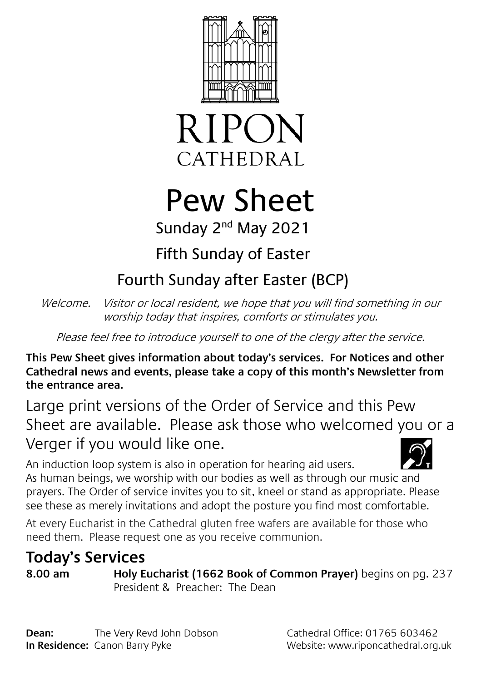



# Pew Sheet

## Sunday 2<sup>nd</sup> May 2021

## Fifth Sunday of Easter

## Fourth Sunday after Easter (BCP)

Welcome. Visitor or local resident, we hope that you will find something in our worship today that inspires, comforts or stimulates you.

Please feel free to introduce yourself to one of the clergy after the service.

**This Pew Sheet gives information about today's services. For Notices and other Cathedral news and events, please take a copy of this month's Newsletter from the entrance area.** 

Large print versions of the Order of Service and this Pew Sheet are available. Please ask those who welcomed you or a Verger if you would like one.

An induction loop system is also in operation for hearing aid users. As human beings, we worship with our bodies as well as through our music and prayers. The Order of service invites you to sit, kneel or stand as appropriate. Please see these as merely invitations and adopt the posture you find most comfortable.

At every Eucharist in the Cathedral gluten free wafers are available for those who need them. Please request one as you receive communion.

## **Today's Services**

**8.00 am Holy Eucharist (1662 Book of Common Prayer)** begins on pg. 237 President & Preacher: The Dean

**Dean:** The Very Revd John Dobson Cathedral Office: 01765 603462 **In Residence:** Canon Barry Pyke Website: www.riponcathedral.org.uk